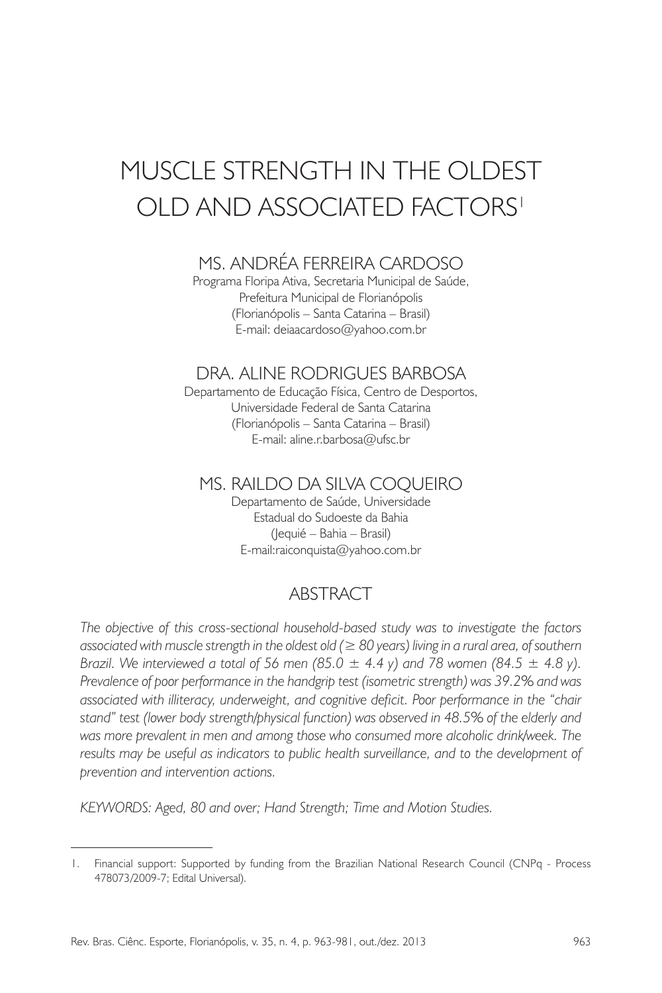# MUSCLE STRENGTH IN THE OI DEST OLD AND ASSOCIATED FACTORS<sup>1</sup>

# Ms. ANDRÉA FERREIRA CARDOSO

Programa Floripa Ativa, Secretaria Municipal de Saúde, Prefeitura Municipal de Florianópolis (Florianópolis – Santa Catarina – Brasil) E-mail: deiaacardoso@yahoo.com.br

## Dra. ALINE RODRIGUES BARBOSA

Departamento de Educação Física, Centro de Desportos, Universidade Federal de Santa Catarina (Florianópolis – Santa Catarina – Brasil) E-mail: aline.r.barbosa@ufsc.br

#### Ms. RAILDO DA SILVA COQUEIRO

Departamento de Saúde, Universidade Estadual do Sudoeste da Bahia (Jequié – Bahia – Brasil) E-mail:raiconquista@yahoo.com.br

## ABSTRACT

*The objective of this cross-sectional household-based study was to investigate the factors associated with muscle strength in the oldest old (≥ 80 years) living in a rural area, of southern Brazil. We interviewed a total of 56 men (85.0*  $\pm$  *4.4 y) and 78 women (84.5*  $\pm$  *4.8 y). Prevalence of poor performance in the handgrip test (isometric strength) was 39.2% and was associated with illiteracy, underweight, and cognitive deficit. Poor performance in the "chair stand" test (lower body strength/physical function) was observed in 48.5% of the elderly and was more prevalent in men and among those who consumed more alcoholic drink/week. The*  results may be useful as indicators to public health surveillance, and to the development of *prevention and intervention actions.* 

*KEYWORDS: Aged, 80 and over; Hand Strength; Time and Motion Studies.*

<sup>1.</sup> Financial support: Supported by funding from the Brazilian National Research Council (CNPq - Process 478073/2009-7; Edital Universal).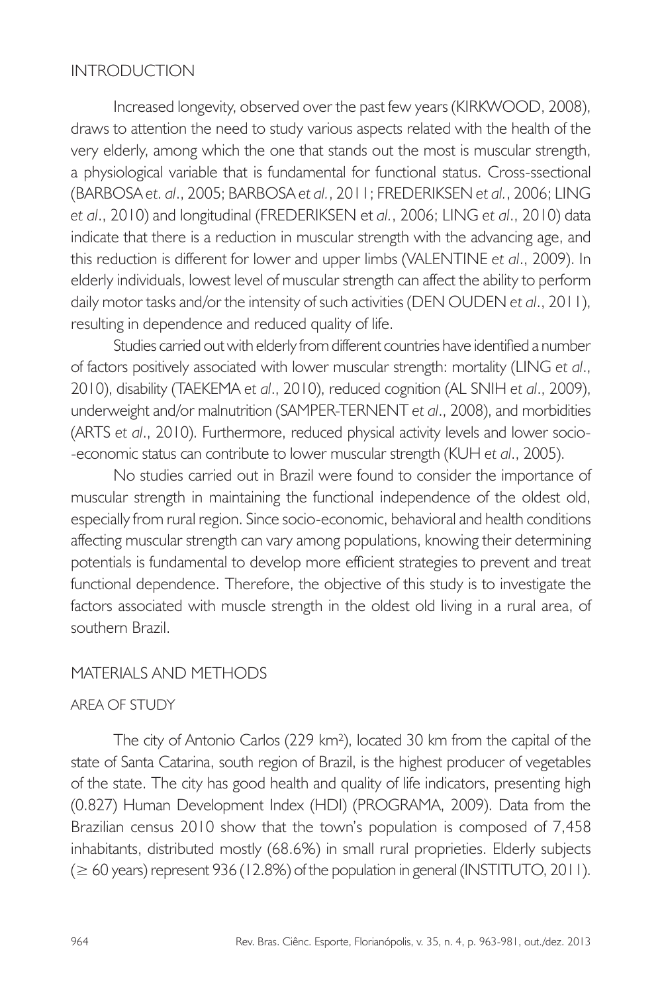## INTRODUCTION

Increased longevity, observed over the past few years (KIRKWOOD, 2008), draws to attention the need to study various aspects related with the health of the very elderly, among which the one that stands out the most is muscular strength, a physiological variable that is fundamental for functional status. Cross-ssectional (BARBOSA *et. al*., 2005; BARBOSA *et al.*, 2011; FREDERIKSEN *et al.*, 2006; LING *et al*., 2010) and longitudinal (FREDERIKSEN et *al.*, 2006; LING *et al*., 2010) data indicate that there is a reduction in muscular strength with the advancing age, and this reduction is different for lower and upper limbs (VALENTINE *et al*., 2009). In elderly individuals, lowest level of muscular strength can affect the ability to perform daily motor tasks and/or the intensity of such activities (DEN OUDEN *et al*., 2011), resulting in dependence and reduced quality of life.

Studies carried out with elderly from different countries have identified a number of factors positively associated with lower muscular strength: mortality (LING *et al*., 2010), disability (TAEKEMA *et al*., 2010), reduced cognition (AL SNIH *et al*., 2009), underweight and/or malnutrition (SAMPER-TERNENT *et al*., 2008), and morbidities (ARTS *et al*., 2010). Furthermore, reduced physical activity levels and lower socio- -economic status can contribute to lower muscular strength (KUH *et al*., 2005).

No studies carried out in Brazil were found to consider the importance of muscular strength in maintaining the functional independence of the oldest old, especially from rural region. Since socio-economic, behavioral and health conditions affecting muscular strength can vary among populations, knowing their determining potentials is fundamental to develop more efficient strategies to prevent and treat functional dependence. Therefore, the objective of this study is to investigate the factors associated with muscle strength in the oldest old living in a rural area, of southern Brazil.

#### MATERIALS AND METHODS

#### AREA OF STUDY

The city of Antonio Carlos (229 km²), located 30 km from the capital of the state of Santa Catarina, south region of Brazil, is the highest producer of vegetables of the state. The city has good health and quality of life indicators, presenting high (0.827) Human Development Index (HDI) (PROGRAMA, 2009). Data from the Brazilian census 2010 show that the town's population is composed of 7,458 inhabitants, distributed mostly (68.6%) in small rural proprieties. Elderly subjects (≥ 60 years) represent 936 (12.8%) of the population in general (INSTITUTO, 2011).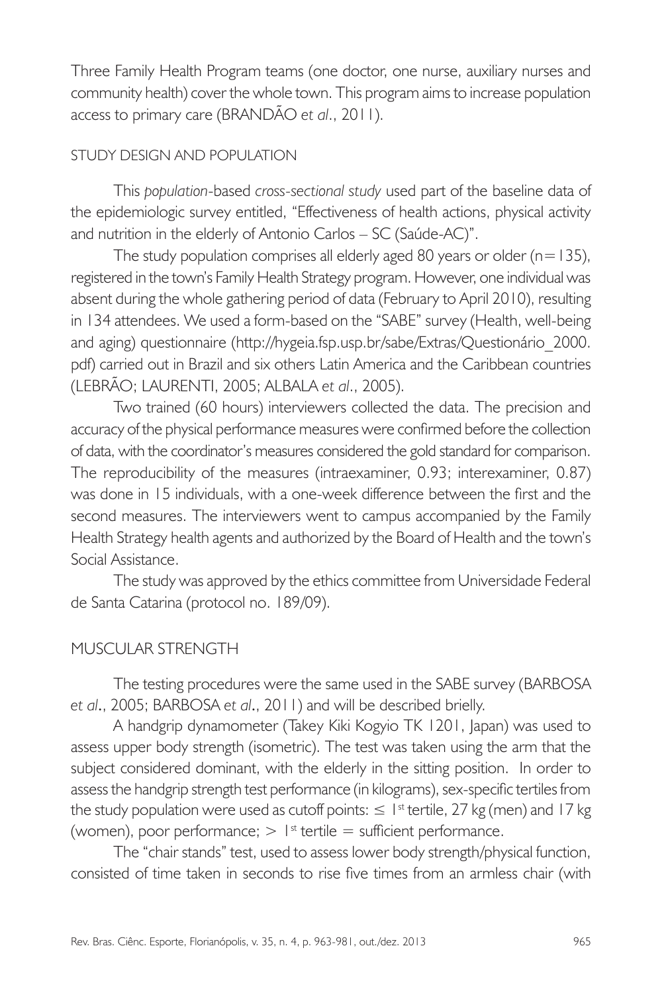Three Family Health Program teams (one doctor, one nurse, auxiliary nurses and community health) cover the whole town. This program aims to increase population access to primary care (BRANDÃO *et al*., 2011).

#### STUDY DESIGN AND POPULATION

This *population*-based *cross-sectional study* used part of the baseline data of the epidemiologic survey entitled, "Effectiveness of health actions, physical activity and nutrition in the elderly of Antonio Carlos – SC (Saúde-AC)".

The study population comprises all elderly aged 80 years or older  $(n=135)$ , registered in the town's Family Health Strategy program. However, one individual was absent during the whole gathering period of data (February to April 2010), resulting in 134 attendees. We used a form-based on the "SABE" survey (Health, well-being and aging) questionnaire (http://hygeia.fsp.usp.br/sabe/Extras/Questionário\_2000. pdf) carried out in Brazil and six others Latin America and the Caribbean countries (LEBRÃO; LAURENTI, 2005; ALBALA *et al*., 2005).

Two trained (60 hours) interviewers collected the data. The precision and accuracy of the physical performance measures were confirmed before the collection of data, with the coordinator's measures considered the gold standard for comparison. The reproducibility of the measures (intraexaminer, 0.93; interexaminer, 0.87) was done in 15 individuals, with a one-week difference between the first and the second measures. The interviewers went to campus accompanied by the Family Health Strategy health agents and authorized by the Board of Health and the town's Social Assistance.

The study was approved by the ethics committee from Universidade Federal de Santa Catarina (protocol no. 189/09).

## MUSCULAR STRENGTH

The testing procedures were the same used in the SABE survey (BARBOSA *et al*., 2005; BARBOSA *et al*., 2011) and will be described brielly.

A handgrip dynamometer (Takey Kiki Kogyio TK 1201, Japan) was used to assess upper body strength (isometric). The test was taken using the arm that the subject considered dominant, with the elderly in the sitting position. In order to assess the handgrip strength test performance (in kilograms), sex-specific tertiles from the study population were used as cutoff points:  $\leq 1^{st}$  tertile, 27 kg (men) and 17 kg (women), poor performance;  $> 1<sup>st</sup>$  tertile = sufficient performance.

The "chair stands" test, used to assess lower body strength/physical function, consisted of time taken in seconds to rise five times from an armless chair (with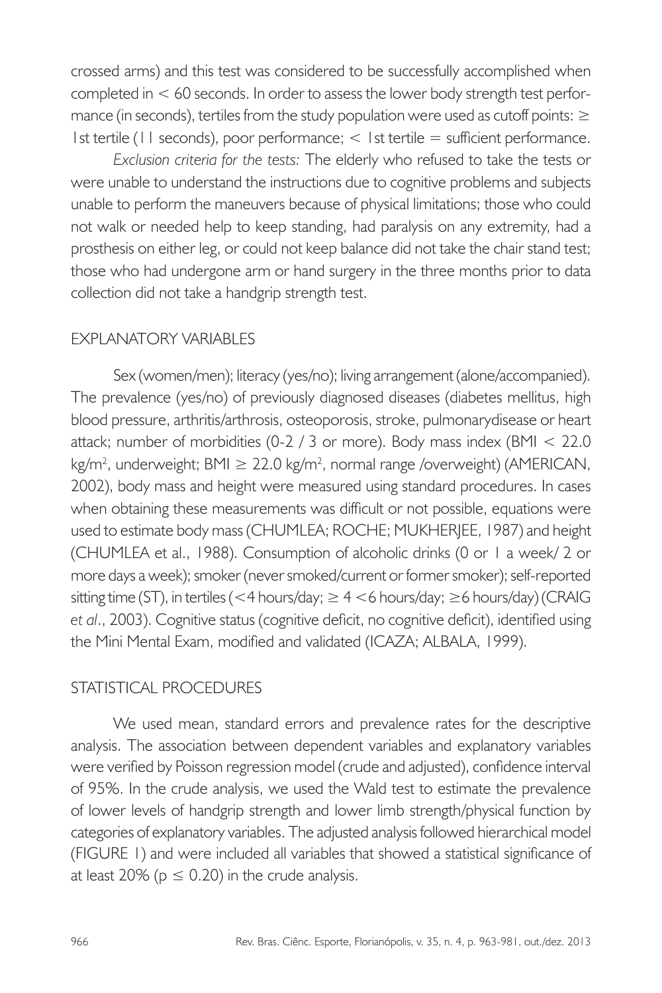crossed arms) and this test was considered to be successfully accomplished when completed in < 60 seconds. In order to assess the lower body strength test performance (in seconds), tertiles from the study population were used as cutoff points:  $\geq$ 1st tertile (11 seconds), poor performance; < 1st tertile = sufficient performance.

*Exclusion criteria for the tests:* The elderly who refused to take the tests or were unable to understand the instructions due to cognitive problems and subjects unable to perform the maneuvers because of physical limitations; those who could not walk or needed help to keep standing, had paralysis on any extremity, had a prosthesis on either leg, or could not keep balance did not take the chair stand test; those who had undergone arm or hand surgery in the three months prior to data collection did not take a handgrip strength test.

## EXPLANATORY VARIABLES

Sex (women/men); literacy (yes/no); living arrangement (alone/accompanied). The prevalence (yes/no) of previously diagnosed diseases (diabetes mellitus, high blood pressure, arthritis/arthrosis, osteoporosis, stroke, pulmonarydisease or heart attack; number of morbidities (0-2 / 3 or more). Body mass index (BMI < 22.0 kg/m<sup>2</sup>, underweight; BMI ≥ 22.0 kg/m<sup>2</sup>, normal range /overweight) (AMERICAN, 2002), body mass and height were measured using standard procedures. In cases when obtaining these measurements was difficult or not possible, equations were used to estimate body mass (CHUMLEA; ROCHE; MUKHERJEE, 1987) and height (CHUMLEA et al., 1988). Consumption of alcoholic drinks (0 or 1 a week/ 2 or more days a week); smoker (never smoked/current or former smoker); self-reported sitting time (ST), in tertiles (<4 hours/day;  $\geq 4$  <6 hours/day;  $\geq 6$  hours/day) (CRAIG *et al*., 2003). Cognitive status (cognitive deficit, no cognitive deficit), identified using the Mini Mental Exam, modified and validated (ICAZA; ALBALA, 1999).

## STATISTICAL PROCEDURES

We used mean, standard errors and prevalence rates for the descriptive analysis. The association between dependent variables and explanatory variables were verified by Poisson regression model (crude and adjusted), confidence interval of 95%. In the crude analysis, we used the Wald test to estimate the prevalence of lower levels of handgrip strength and lower limb strength/physical function by categories of explanatory variables. The adjusted analysis followed hierarchical model (FIGURE 1) and were included all variables that showed a statistical significance of at least 20% ( $p \le 0.20$ ) in the crude analysis.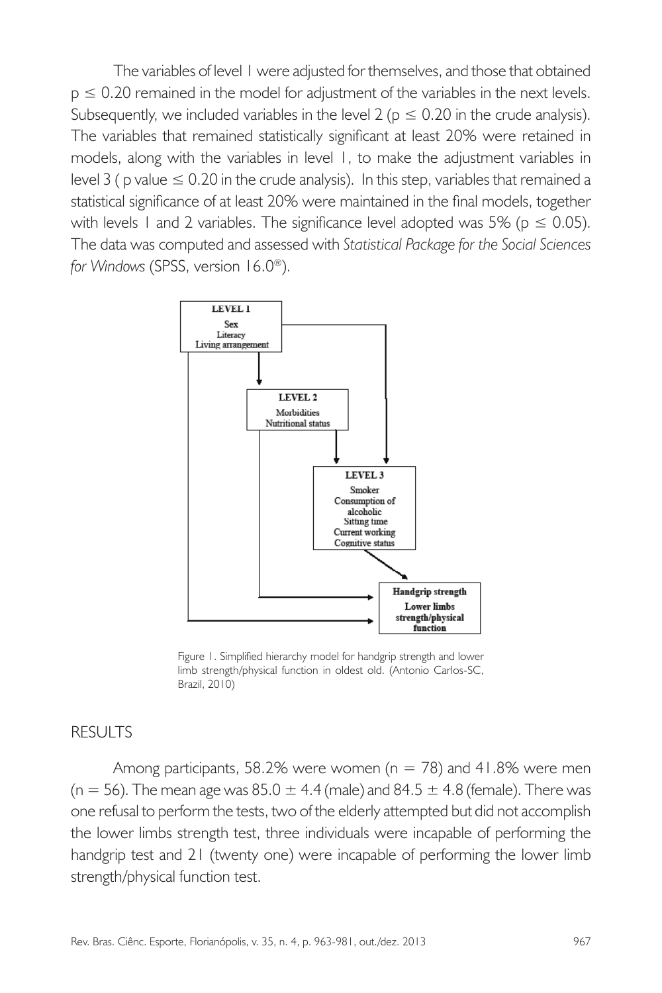The variables of level 1 were adjusted for themselves, and those that obtained  $p \le 0.20$  remained in the model for adjustment of the variables in the next levels. Subsequently, we included variables in the level 2 ( $p \le 0.20$  in the crude analysis). The variables that remained statistically significant at least 20% were retained in models, along with the variables in level 1, to make the adjustment variables in level 3 ( p value  $\leq 0.20$  in the crude analysis). In this step, variables that remained a statistical significance of at least 20% were maintained in the final models, together with levels 1 and 2 variables. The significance level adopted was 5% ( $p \le 0.05$ ). The data was computed and assessed with *Statistical Package for the Social Sciences for Windows* (SPSS, version 16.0®).



Figure 1. Simplified hierarchy model for handgrip strength and lower limb strength/physical function in oldest old. (Antonio Carlos-SC, Brazil, 2010)

#### RESULTS

Among participants, 58.2% were women ( $n = 78$ ) and 41.8% were men  $(n = 56)$ . The mean age was  $85.0 \pm 4.4$  (male) and  $84.5 \pm 4.8$  (female). There was one refusal to perform the tests, two of the elderly attempted but did not accomplish the lower limbs strength test, three individuals were incapable of performing the handgrip test and 21 (twenty one) were incapable of performing the lower limb strength/physical function test.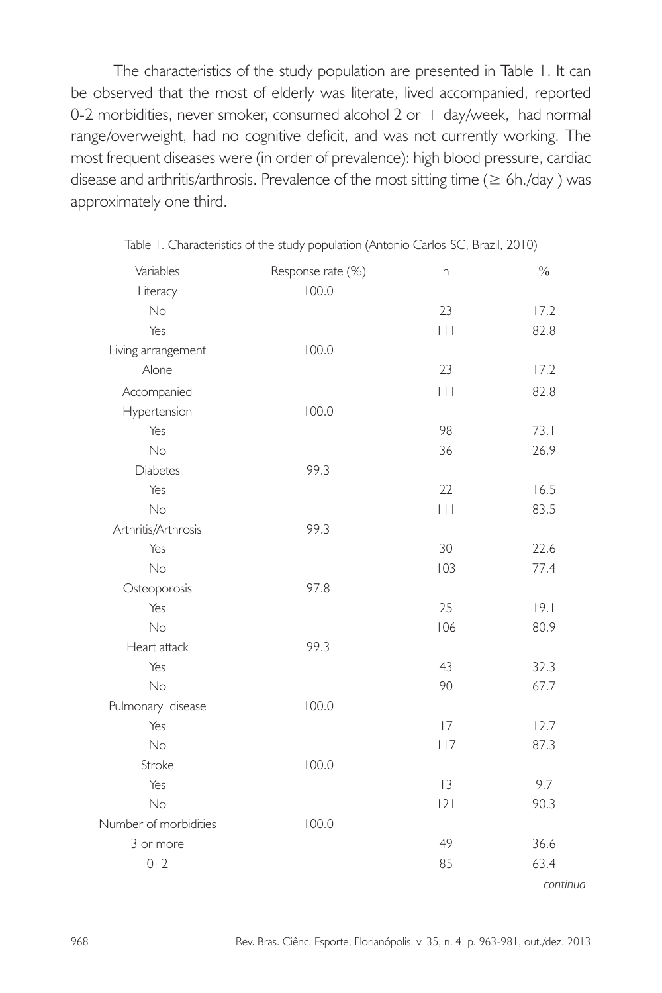The characteristics of the study population are presented in Table 1. It can be observed that the most of elderly was literate, lived accompanied, reported 0-2 morbidities, never smoker, consumed alcohol  $2$  or  $+$  day/week, had normal range/overweight, had no cognitive deficit, and was not currently working. The most frequent diseases were (in order of prevalence): high blood pressure, cardiac disease and arthritis/arthrosis. Prevalence of the most sitting time ( $\geq 6$ h./day) was approximately one third.

| Variables             | Response rate (%) | n                       | $\frac{0}{0}$ |
|-----------------------|-------------------|-------------------------|---------------|
| Literacy              | 100.0             |                         |               |
| No                    |                   | 23                      | 17.2          |
| Yes                   |                   | $\Box$                  | 82.8          |
| Living arrangement    | 100.0             |                         |               |
| Alone                 |                   | 23                      | 17.2          |
| Accompanied           |                   | $\vert \ \vert \ \vert$ | 82.8          |
| Hypertension          | 100.0             |                         |               |
| Yes                   |                   | 98                      | 73.1          |
| No                    |                   | 36                      | 26.9          |
| <b>Diabetes</b>       | 99.3              |                         |               |
| Yes                   |                   | 22                      | 16.5          |
| No                    |                   | $\Box$                  | 83.5          |
| Arthritis/Arthrosis   | 99.3              |                         |               |
| Yes                   |                   | 30                      | 22.6          |
| No                    |                   | 103                     | 77.4          |
| Osteoporosis          | 97.8              |                         |               |
| Yes                   |                   | 25                      | 9.1           |
| No                    |                   | 106                     | 80.9          |
| Heart attack          | 99.3              |                         |               |
| Yes                   |                   | 43                      | 32.3          |
| No                    |                   | 90                      | 67.7          |
| Pulmonary disease     | 100.0             |                         |               |
| Yes                   |                   | 17                      | 12.7          |
| No                    |                   | 117                     | 87.3          |
| Stroke                | 100.0             |                         |               |
| Yes                   |                   | 3                       | 9.7           |
| No                    |                   | 2                       | 90.3          |
| Number of morbidities | 100.0             |                         |               |
| 3 or more             |                   | 49                      | 36.6          |
| $0 - 2$               |                   | 85                      | 63.4          |

Table 1. Characteristics of the study population (Antonio Carlos-SC, Brazil, 2010)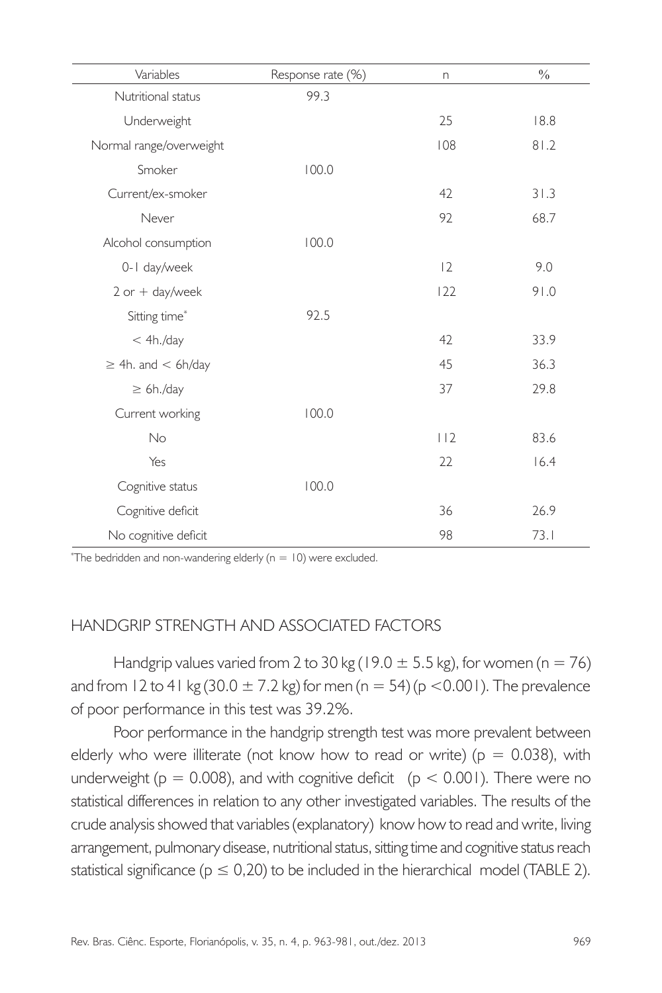| Variables                 | Response rate (%) | n.  | $\frac{0}{0}$ |
|---------------------------|-------------------|-----|---------------|
| Nutritional status        | 99.3              |     |               |
| Underweight               |                   | 25  | 18.8          |
| Normal range/overweight   |                   | 108 | 81.2          |
| Smoker                    | 100.0             |     |               |
| Current/ex-smoker         |                   | 42  | 31.3          |
| Never                     |                   | 92  | 68.7          |
| Alcohol consumption       | 100.0             |     |               |
| 0-1 day/week              |                   | 2   | 9.0           |
| $2$ or $+$ day/week       |                   | 122 | 91.0          |
| Sitting time*             | 92.5              |     |               |
| < 4h./day                 |                   | 42  | 33.9          |
| $\geq$ 4h. and $<$ 6h/day |                   | 45  | 36.3          |
| $\geq 6h./day$            |                   | 37  | 29.8          |
| Current working           | 100.0             |     |               |
| No                        |                   | 112 | 83.6          |
| Yes                       |                   | 22  | 16.4          |
| Cognitive status          | 100.0             |     |               |
| Cognitive deficit         |                   | 36  | 26.9          |
| No cognitive deficit      |                   | 98  | 73.1          |

\* The bedridden and non-wandering elderly (n = 10) were excluded.

## HANDGRIP STRENGTH AND ASSOCIATED FACTORS

Handgrip values varied from 2 to 30 kg (19.0  $\pm$  5.5 kg), for women (n = 76) and from 12 to 41 kg (30.0  $\pm$  7.2 kg) for men (n = 54) (p < 0.001). The prevalence of poor performance in this test was 39.2%.

Poor performance in the handgrip strength test was more prevalent between elderly who were illiterate (not know how to read or write) ( $p = 0.038$ ), with underweight ( $p = 0.008$ ), and with cognitive deficit ( $p < 0.001$ ). There were no statistical differences in relation to any other investigated variables. The results of the crude analysis showed that variables (explanatory) know how to read and write, living arrangement, pulmonary disease, nutritional status, sitting time and cognitive status reach statistical significance ( $p \le 0,20$ ) to be included in the hierarchical model (TABLE 2).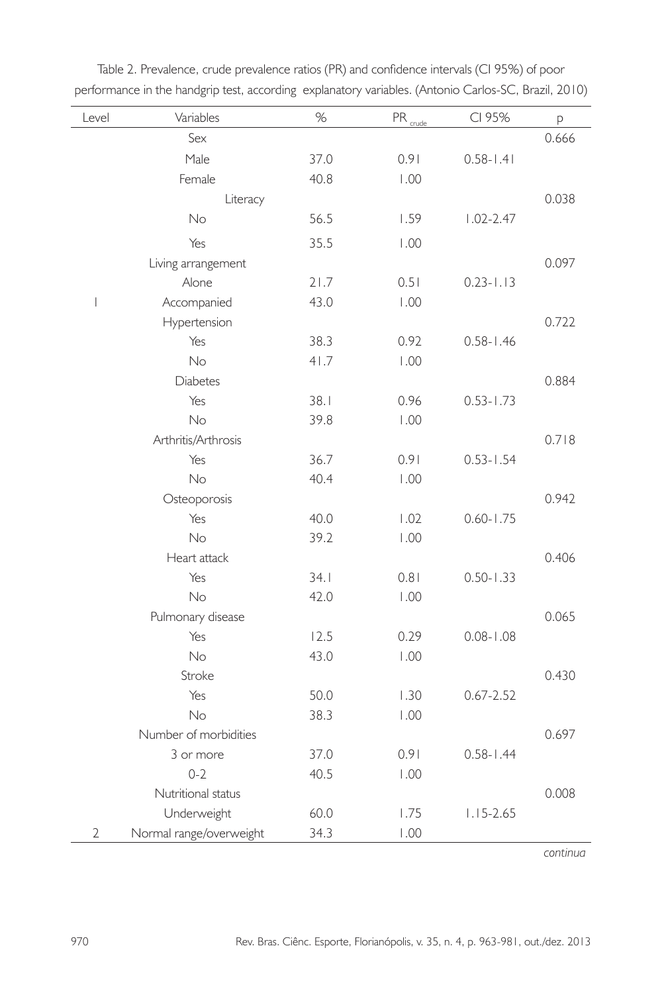| Level                          | Variables               | %    | $PR_{\underline{cube}}$ | CI 95%        | p     |
|--------------------------------|-------------------------|------|-------------------------|---------------|-------|
|                                | Sex                     |      |                         |               | 0.666 |
|                                | Male                    | 37.0 | 0.91                    | $0.58 - 1.41$ |       |
|                                | Female                  | 40.8 | 1.00                    |               |       |
|                                | Literacy                |      |                         |               | 0.038 |
|                                | No                      | 56.5 | 1.59                    | $1.02 - 2.47$ |       |
|                                | Yes                     | 35.5 | 1.00                    |               |       |
|                                | Living arrangement      |      |                         |               | 0.097 |
|                                | Alone                   | 21.7 | 0.51                    | $0.23 - 1.13$ |       |
| $\begin{array}{c} \end{array}$ | Accompanied             | 43.0 | 1.00                    |               |       |
|                                | Hypertension            |      |                         |               | 0.722 |
|                                | Yes                     | 38.3 | 0.92                    | $0.58 - 1.46$ |       |
|                                | No                      | 41.7 | 1.00                    |               |       |
|                                | <b>Diabetes</b>         |      |                         |               | 0.884 |
|                                | Yes                     | 38.1 | 0.96                    | $0.53 - 1.73$ |       |
|                                | No                      | 39.8 | 1.00                    |               |       |
|                                | Arthritis/Arthrosis     |      |                         |               | 0.718 |
|                                | Yes                     | 36.7 | 0.91                    | $0.53 - 1.54$ |       |
|                                | No                      | 40.4 | 1.00                    |               |       |
|                                | Osteoporosis            |      |                         |               | 0.942 |
|                                | Yes                     | 40.0 | 1.02                    | $0.60 - 1.75$ |       |
|                                | No                      | 39.2 | 1.00                    |               |       |
|                                | Heart attack            |      |                         |               | 0.406 |
|                                | Yes                     | 34.1 | 0.81                    | $0.50 - 1.33$ |       |
|                                | No                      | 42.0 | 1.00                    |               |       |
|                                | Pulmonary disease       |      |                         |               | 0.065 |
|                                | Yes                     | 12.5 | 0.29                    | $0.08 - 1.08$ |       |
|                                | No                      | 43.0 | 1.00                    |               |       |
|                                | Stroke                  |      |                         |               | 0.430 |
|                                | Yes                     | 50.0 | 1.30                    | $0.67 - 2.52$ |       |
|                                | No                      | 38.3 | 1.00                    |               |       |
|                                | Number of morbidities   |      |                         |               | 0.697 |
|                                | 3 or more               | 37.0 | 0.91                    | $0.58 - 1.44$ |       |
|                                | $0 - 2$                 | 40.5 | 1.00                    |               |       |
|                                | Nutritional status      |      |                         |               | 0.008 |
|                                | Underweight             | 60.0 | 1.75                    | $1.15 - 2.65$ |       |
| 2                              | Normal range/overweight | 34.3 | 1.00                    |               |       |

Table 2. Prevalence, crude prevalence ratios (PR) and confidence intervals (CI 95%) of poor performance in the handgrip test, according explanatory variables. (Antonio Carlos-SC, Brazil, 2010)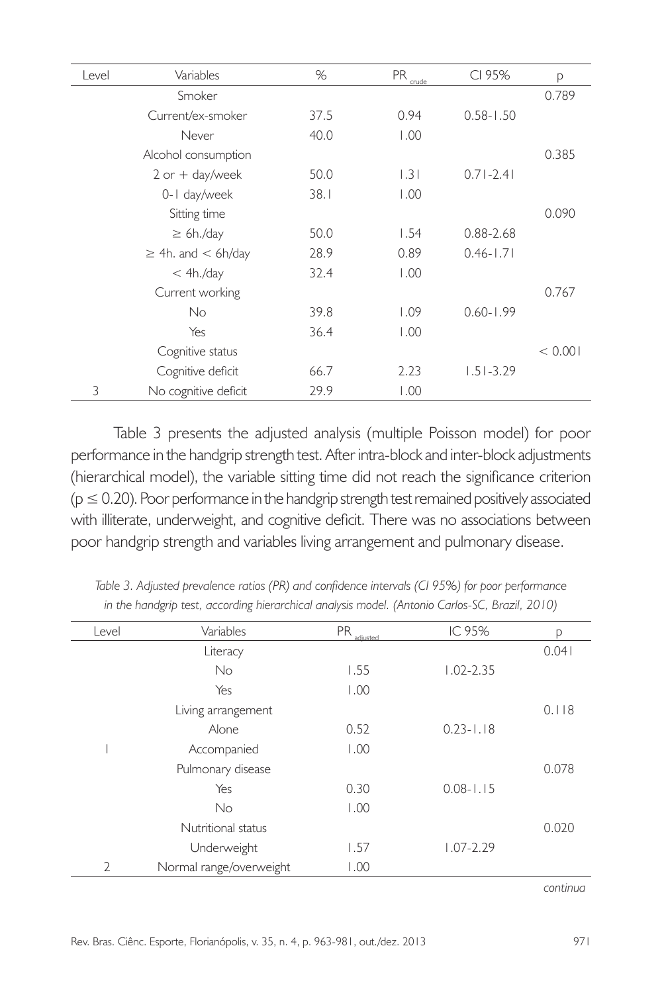| Level | Variables                 | %    | <b>PR</b><br>crude | CI 95%        | р       |
|-------|---------------------------|------|--------------------|---------------|---------|
|       | Smoker                    |      |                    |               | 0.789   |
|       | Current/ex-smoker         | 37.5 | 0.94               | $0.58 - 1.50$ |         |
|       | Never                     | 40.0 | 1.00               |               |         |
|       | Alcohol consumption       |      |                    |               | 0.385   |
|       | $2$ or $+$ day/week       | 50.0 | 1.31               | $0.71 - 2.41$ |         |
|       | 0-1 day/week              | 38.1 | 1.00               |               |         |
|       | Sitting time              |      |                    |               | 0.090   |
|       | $\geq 6h$ ./day           | 50.0 | 1.54               | $0.88 - 2.68$ |         |
|       | $\geq$ 4h. and $<$ 6h/day | 28.9 | 0.89               | $0.46 - 1.71$ |         |
|       | $<$ 4h./day               | 32.4 | 1.00               |               |         |
|       | Current working           |      |                    |               | 0.767   |
|       | <b>No</b>                 | 39.8 | 1.09               | $0.60 - 1.99$ |         |
|       | Yes                       | 36.4 | 1.00               |               |         |
|       | Cognitive status          |      |                    |               | < 0.001 |
|       | Cognitive deficit         | 66.7 | 2.23               | $1.51 - 3.29$ |         |
| 3     | No cognitive deficit      | 29.9 | 1.00               |               |         |

Table 3 presents the adjusted analysis (multiple Poisson model) for poor performance in the handgrip strength test. After intra-block and inter-block adjustments (hierarchical model), the variable sitting time did not reach the significance criterion  $(p \le 0.20)$ . Poor performance in the handgrip strength test remained positively associated with illiterate, underweight, and cognitive deficit. There was no associations between poor handgrip strength and variables living arrangement and pulmonary disease.

| Level          | Variables               | <b>PR</b><br>adjusted | IC 95%        | р     |
|----------------|-------------------------|-----------------------|---------------|-------|
|                | Literacy                |                       |               | 0.041 |
|                | <b>No</b>               | 1.55                  | $1.02 - 2.35$ |       |
|                | Yes                     | 1.00                  |               |       |
|                | Living arrangement      |                       |               | 0.118 |
|                | Alone                   | 0.52                  | $0.23 - 1.18$ |       |
|                | Accompanied             | 1.00                  |               |       |
|                | Pulmonary disease       |                       |               | 0.078 |
|                | Yes                     | 0.30                  | $0.08 - 1.15$ |       |
|                | <b>No</b>               | 1.00                  |               |       |
|                | Nutritional status      |                       |               | 0.020 |
|                | Underweight             | 1.57                  | $1.07 - 2.29$ |       |
| $\mathfrak{D}$ | Normal range/overweight | 1.00                  |               |       |

*Table 3. Adjusted prevalence ratios (PR) and confidence intervals (CI 95%) for poor performance in the handgrip test, according hierarchical analysis model. (Antonio Carlos-SC, Brazil, 2010)*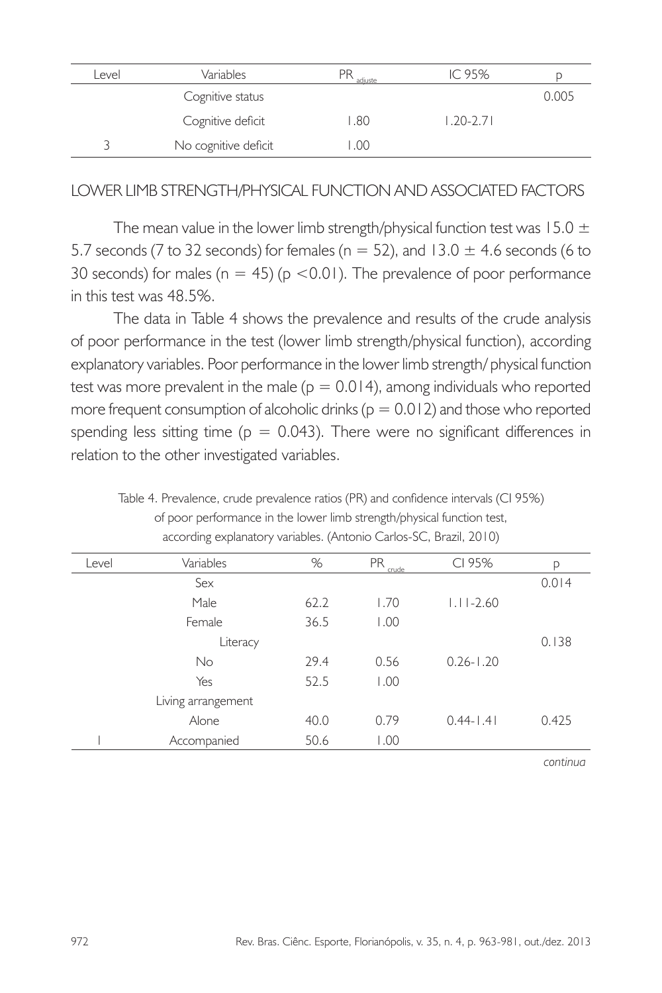| evel | Variables            | РR<br>adiuste | IC 95%        |       |
|------|----------------------|---------------|---------------|-------|
|      | Cognitive status     |               |               | 0.005 |
|      | Cognitive deficit    | .80           | $1.20 - 2.71$ |       |
|      | No cognitive deficit | .00           |               |       |

## LOWER LIMB STRENGTH/PHYSICAL FUNCTION AND ASSOCIATED FACTORS

The mean value in the lower limb strength/physical function test was 15.0  $\pm$ 5.7 seconds (7 to 32 seconds) for females ( $n = 52$ ), and 13.0  $\pm$  4.6 seconds (6 to 30 seconds) for males ( $n = 45$ ) ( $p < 0.01$ ). The prevalence of poor performance in this test was 48.5%.

The data in Table 4 shows the prevalence and results of the crude analysis of poor performance in the test (lower limb strength/physical function), according explanatory variables. Poor performance in the lower limb strength/ physical function test was more prevalent in the male ( $p = 0.014$ ), among individuals who reported more frequent consumption of alcoholic drinks ( $p = 0.012$ ) and those who reported spending less sitting time ( $p = 0.043$ ). There were no significant differences in relation to the other investigated variables.

Table 4. Prevalence, crude prevalence ratios (PR) and confidence intervals (CI 95%) of poor performance in the lower limb strength/physical function test, according explanatory variables. (Antonio Carlos-SC, Brazil, 2010)

| Level | Variables          | %    | <b>PR</b><br>crude | CI 95%        | р     |
|-------|--------------------|------|--------------------|---------------|-------|
|       | Sex                |      |                    |               | 0.014 |
|       | Male               | 62.2 | 1.70               | $1.11 - 2.60$ |       |
|       | Female             | 36.5 | 1.00               |               |       |
|       | Literacy           |      |                    |               | 0.138 |
|       | <b>No</b>          | 29.4 | 0.56               | $0.26 - 1.20$ |       |
|       | Yes                | 52.5 | 1.00               |               |       |
|       | Living arrangement |      |                    |               |       |
|       | Alone              | 40.0 | 0.79               | $0.44 - 1.41$ | 0.425 |
|       | Accompanied        | 50.6 | 1.00               |               |       |
|       |                    |      |                    |               |       |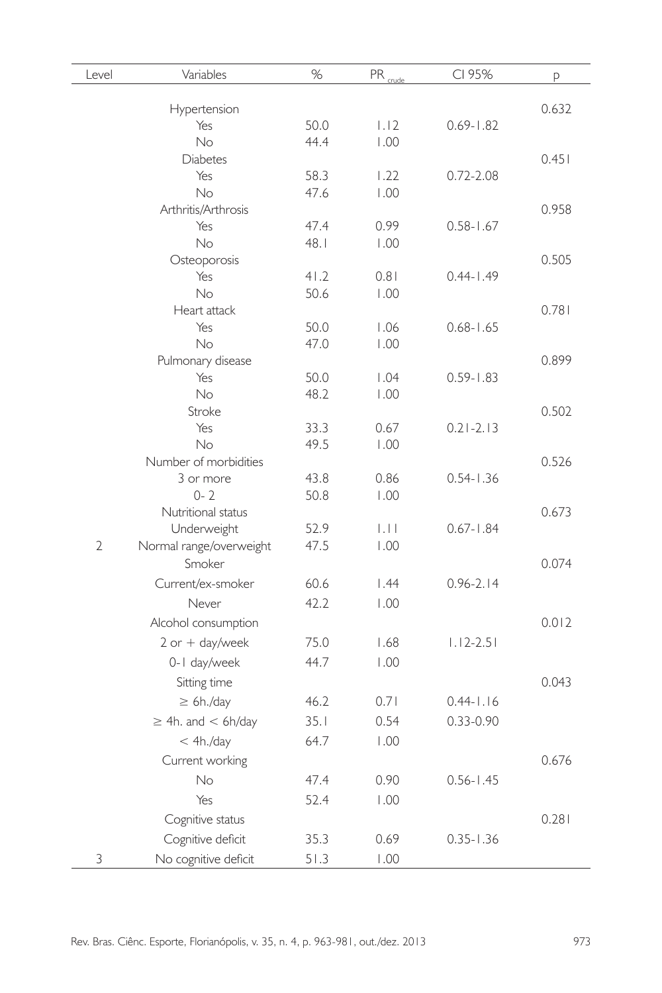| Level          | Variables                 | %            | PR <sub>coude</sub> | CI 95%        | p     |
|----------------|---------------------------|--------------|---------------------|---------------|-------|
|                | Hypertension              |              |                     |               | 0.632 |
|                | Yes                       | 50.0         | 1.12                | $0.69 - 1.82$ |       |
|                | <b>No</b>                 | 44.4         | 1.00                |               |       |
|                | <b>Diabetes</b>           |              |                     |               | 0.451 |
|                | Yes                       | 58.3         | 1.22                | $0.72 - 2.08$ |       |
|                | No                        | 47.6         | 1.00                |               |       |
|                | Arthritis/Arthrosis       |              |                     |               | 0.958 |
|                | Yes                       | 47.4         | 0.99                | $0.58 - 1.67$ |       |
|                | <b>No</b>                 | 48.1         | 1.00                |               |       |
|                | Osteoporosis              |              |                     |               | 0.505 |
|                | Yes                       | 41.2         | 0.81                | $0.44 - 1.49$ |       |
|                | No.                       | 50.6         | 1.00                |               |       |
|                | Heart attack              |              |                     |               | 0.781 |
|                | Yes                       | 50.0         | 1.06                | $0.68 - 1.65$ |       |
|                | No                        | 47.0         | 1.00                |               |       |
|                | Pulmonary disease         |              |                     |               | 0.899 |
|                | Yes                       | 50.0         | 1.04                | $0.59 - 1.83$ |       |
|                | <b>No</b>                 | 48.2         | 1.00                |               |       |
|                | Stroke                    |              |                     |               | 0.502 |
|                | Yes<br>No                 | 33.3<br>49.5 | 0.67<br>1.00        | $0.21 - 2.13$ |       |
|                | Number of morbidities     |              |                     |               | 0.526 |
|                | 3 or more                 | 43.8         | 0.86                | $0.54 - 1.36$ |       |
|                | $0 - 2$                   | 50.8         | 1.00                |               |       |
|                | Nutritional status        |              |                     |               | 0.673 |
|                | Underweight               | 52.9         | .                   | $0.67 - 1.84$ |       |
| $\overline{2}$ | Normal range/overweight   | 47.5         | 1.00                |               |       |
|                | Smoker                    |              |                     |               | 0.074 |
|                | Current/ex-smoker         | 60.6         | 1.44                | $0.96 - 2.14$ |       |
|                | Never                     | 42.2         | 1.00                |               |       |
|                |                           |              |                     |               |       |
|                | Alcohol consumption       |              |                     |               | 0.012 |
|                | $2$ or $+$ day/week       | 75.0         | 1.68                | $1.12 - 2.51$ |       |
|                | 0-1 day/week              | 44.7         | 1.00                |               |       |
|                | Sitting time              |              |                     |               | 0.043 |
|                | $\geq 6h$ ./day           | 46.2         | 0.71                | $0.44 - 1.16$ |       |
|                | $\geq$ 4h. and $<$ 6h/day | 35.1         | 0.54                | 0.33-0.90     |       |
|                | < 4h./day                 | 64.7         | 1.00                |               |       |
|                | Current working           |              |                     |               | 0.676 |
|                | No                        | 47.4         | 0.90                | $0.56 - 1.45$ |       |
|                |                           |              |                     |               |       |
|                | Yes                       | 52.4         | 1.00                |               |       |
|                | Cognitive status          |              |                     |               | 0.281 |
|                | Cognitive deficit         | 35.3         | 0.69                | $0.35 - 1.36$ |       |
| 3              | No cognitive deficit      | 51.3         | 1.00                |               |       |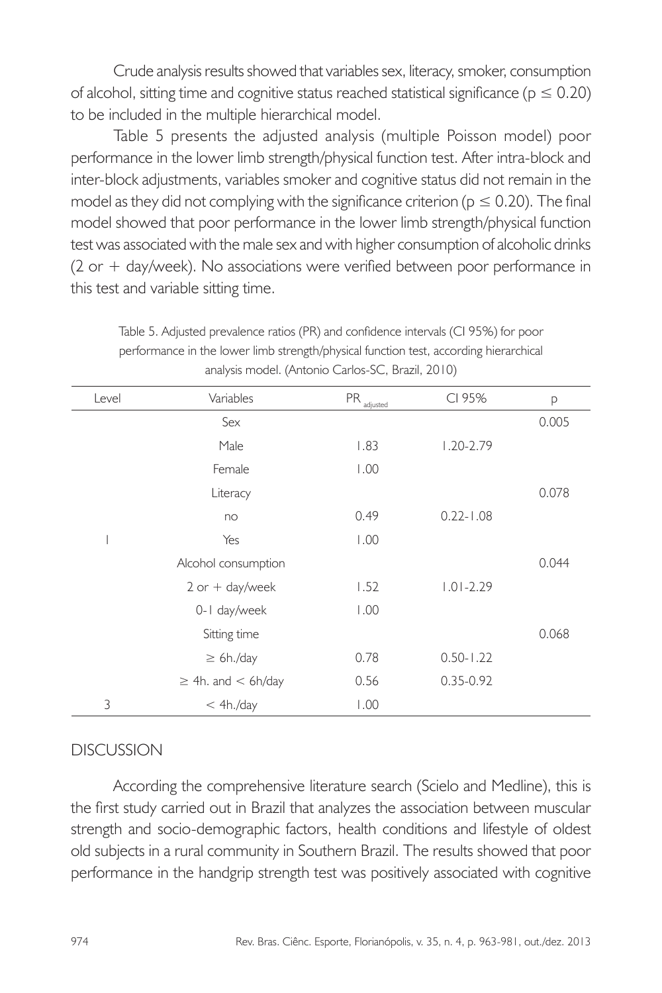Crude analysis results showed that variables sex, literacy, smoker, consumption of alcohol, sitting time and cognitive status reached statistical significance ( $p \le 0.20$ ) to be included in the multiple hierarchical model.

Table 5 presents the adjusted analysis (multiple Poisson model) poor performance in the lower limb strength/physical function test. After intra-block and inter-block adjustments, variables smoker and cognitive status did not remain in the model as they did not complying with the significance criterion ( $p \le 0.20$ ). The final model showed that poor performance in the lower limb strength/physical function test was associated with the male sex and with higher consumption of alcoholic drinks (2 or + day/week). No associations were verified between poor performance in this test and variable sitting time.

| Level | Variables                 | $\ensuremath{\mathsf{PR}}\xspace_{\underline{\text{adjusted}}}$ | CI 95%        | р     |
|-------|---------------------------|-----------------------------------------------------------------|---------------|-------|
|       | Sex                       |                                                                 |               | 0.005 |
|       | Male                      | 1.83                                                            | $1.20 - 2.79$ |       |
|       | Female                    | 1.00                                                            |               |       |
|       | Literacy                  |                                                                 |               | 0.078 |
|       | no                        | 0.49                                                            | $0.22 - 1.08$ |       |
|       | Yes                       | 1.00                                                            |               |       |
|       | Alcohol consumption       |                                                                 |               | 0.044 |
|       | $2$ or $+$ day/week       | 1.52                                                            | $1.01 - 2.29$ |       |
|       | 0-1 day/week              | 1.00                                                            |               |       |
|       | Sitting time              |                                                                 |               | 0.068 |
|       | $\geq 6h./day$            | 0.78                                                            | $0.50 - 1.22$ |       |
|       | $\geq$ 4h. and $<$ 6h/day | 0.56                                                            | $0.35 - 0.92$ |       |
| 3     | < 4h./day                 | 1.00                                                            |               |       |

Table 5. Adjusted prevalence ratios (PR) and confidence intervals (CI 95%) for poor performance in the lower limb strength/physical function test, according hierarchical analysis model. (Antonio Carlos-SC, Brazil, 2010)

## DISCUSSION

According the comprehensive literature search (Scielo and Medline), this is the first study carried out in Brazil that analyzes the association between muscular strength and socio-demographic factors, health conditions and lifestyle of oldest old subjects in a rural community in Southern Brazil. The results showed that poor performance in the handgrip strength test was positively associated with cognitive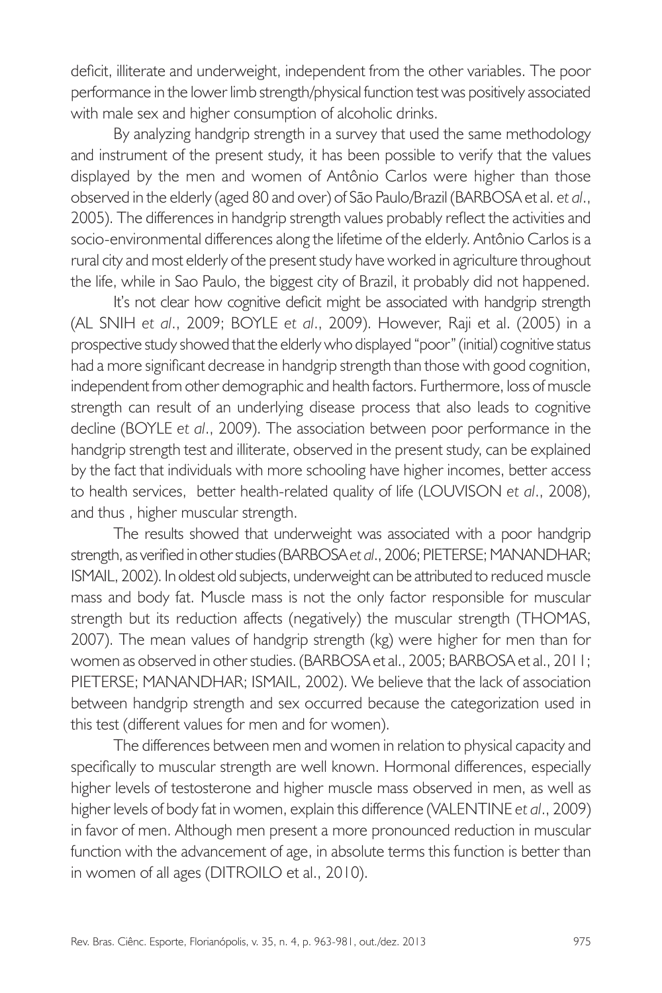deficit, illiterate and underweight, independent from the other variables. The poor performance in the lower limb strength/physical function test was positively associated with male sex and higher consumption of alcoholic drinks.

By analyzing handgrip strength in a survey that used the same methodology and instrument of the present study, it has been possible to verify that the values displayed by the men and women of Antônio Carlos were higher than those observed in the elderly (aged 80 and over) of São Paulo/Brazil (BARBOSA et al. *et al*., 2005). The differences in handgrip strength values probably reflect the activities and socio-environmental differences along the lifetime of the elderly. Antônio Carlos is a rural city and most elderly of the present study have worked in agriculture throughout the life, while in Sao Paulo, the biggest city of Brazil, it probably did not happened.

It's not clear how cognitive deficit might be associated with handgrip strength (AL SNIH *et al*., 2009; BOYLE *et al*., 2009). However, Raji et al. (2005) in a prospective study showed that the elderly who displayed "poor" (initial) cognitive status had a more significant decrease in handgrip strength than those with good cognition, independent from other demographic and health factors. Furthermore, loss of muscle strength can result of an underlying disease process that also leads to cognitive decline (BOYLE *et al*., 2009). The association between poor performance in the handgrip strength test and illiterate, observed in the present study, can be explained by the fact that individuals with more schooling have higher incomes, better access to health services, better health-related quality of life (LOUVISON *et al*., 2008), and thus , higher muscular strength.

The results showed that underweight was associated with a poor handgrip strength, as verified in other studies (BARBOSA *et al*., 2006; PIETERSE; MANANDHAR; ISMAIL, 2002). In oldest old subjects, underweight can be attributed to reduced muscle mass and body fat. Muscle mass is not the only factor responsible for muscular strength but its reduction affects (negatively) the muscular strength (THOMAS, 2007). The mean values of handgrip strength (kg) were higher for men than for women as observed in other studies. (BARBOSA et al., 2005; BARBOSA et al., 2011; PIETERSE; MANANDHAR; ISMAIL, 2002). We believe that the lack of association between handgrip strength and sex occurred because the categorization used in this test (different values for men and for women).

The differences between men and women in relation to physical capacity and specifically to muscular strength are well known. Hormonal differences, especially higher levels of testosterone and higher muscle mass observed in men, as well as higher levels of body fat in women, explain this difference (VALENTINE *et al*., 2009) in favor of men. Although men present a more pronounced reduction in muscular function with the advancement of age, in absolute terms this function is better than in women of all ages (DITROILO et al., 2010).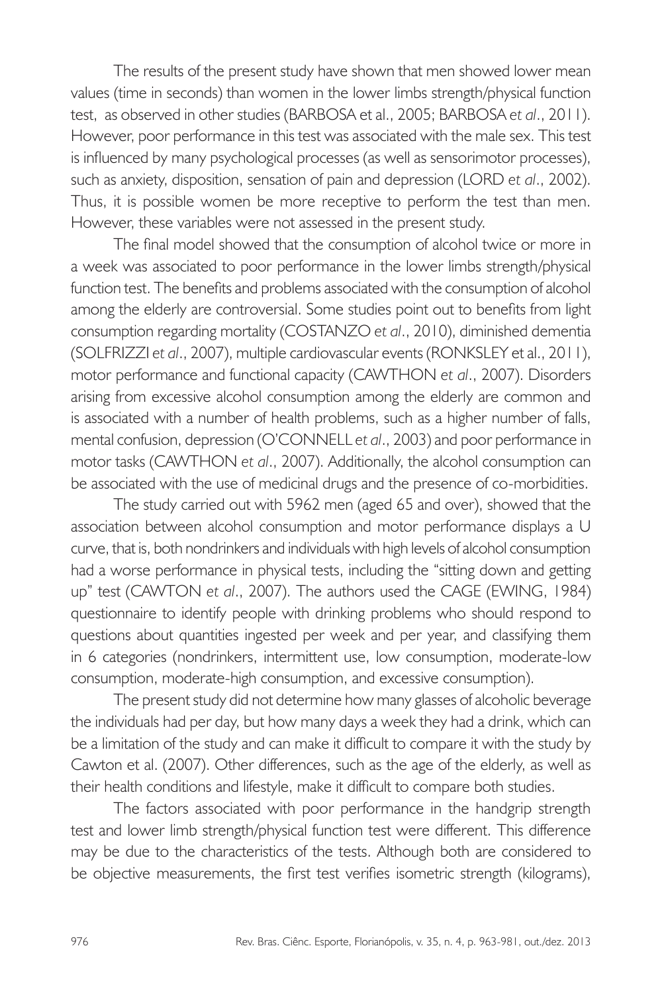The results of the present study have shown that men showed lower mean values (time in seconds) than women in the lower limbs strength/physical function test, as observed in other studies (BARBOSA et al., 2005; BARBOSA *et al*., 2011). However, poor performance in this test was associated with the male sex. This test is influenced by many psychological processes (as well as sensorimotor processes), such as anxiety, disposition, sensation of pain and depression (LORD *et al*., 2002). Thus, it is possible women be more receptive to perform the test than men. However, these variables were not assessed in the present study.

The final model showed that the consumption of alcohol twice or more in a week was associated to poor performance in the lower limbs strength/physical function test. The benefits and problems associated with the consumption of alcohol among the elderly are controversial. Some studies point out to benefits from light consumption regarding mortality (COSTANZO *et al*., 2010), diminished dementia (SOLFRIZZI *et al*., 2007), multiple cardiovascular events (RONKSLEY et al., 2011), motor performance and functional capacity (CAWTHON *et al*., 2007). Disorders arising from excessive alcohol consumption among the elderly are common and is associated with a number of health problems, such as a higher number of falls, mental confusion, depression (O'CONNELL *et al*., 2003) and poor performance in motor tasks (CAWTHON *et al*., 2007). Additionally, the alcohol consumption can be associated with the use of medicinal drugs and the presence of co-morbidities.

The study carried out with 5962 men (aged 65 and over), showed that the association between alcohol consumption and motor performance displays a U curve, that is, both nondrinkers and individuals with high levels of alcohol consumption had a worse performance in physical tests, including the "sitting down and getting up" test (CAWTON *et al*., 2007). The authors used the CAGE (EWING, 1984) questionnaire to identify people with drinking problems who should respond to questions about quantities ingested per week and per year, and classifying them in 6 categories (nondrinkers, intermittent use, low consumption, moderate-low consumption, moderate-high consumption, and excessive consumption).

The present study did not determine how many glasses of alcoholic beverage the individuals had per day, but how many days a week they had a drink, which can be a limitation of the study and can make it difficult to compare it with the study by Cawton et al. (2007). Other differences, such as the age of the elderly, as well as their health conditions and lifestyle, make it difficult to compare both studies.

The factors associated with poor performance in the handgrip strength test and lower limb strength/physical function test were different. This difference may be due to the characteristics of the tests. Although both are considered to be objective measurements, the first test verifies isometric strength (kilograms),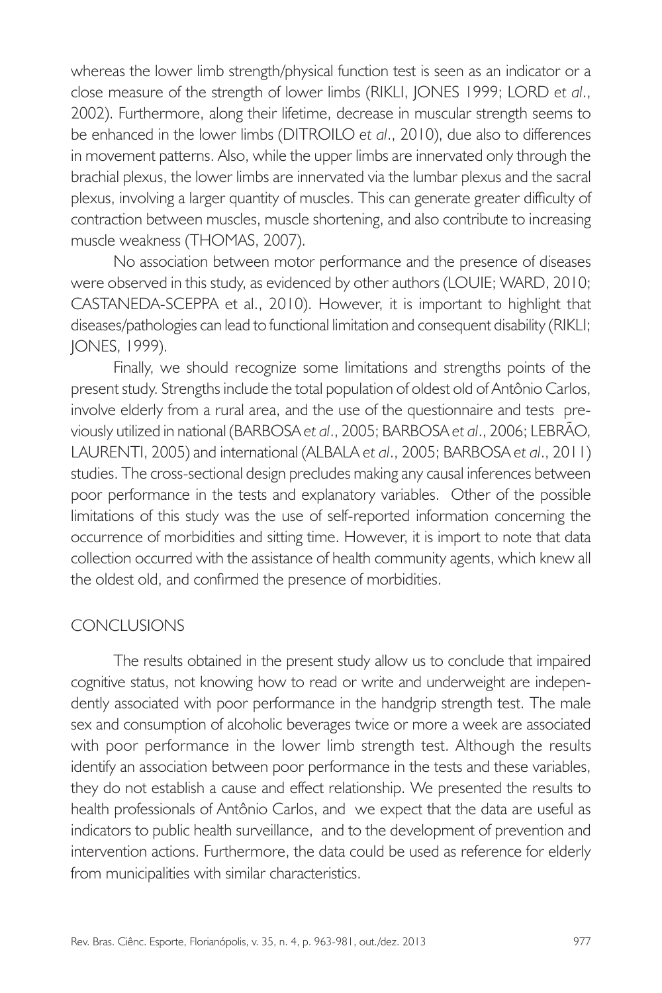whereas the lower limb strength/physical function test is seen as an indicator or a close measure of the strength of lower limbs (RIKLI, JONES 1999; LORD *et al*., 2002). Furthermore, along their lifetime, decrease in muscular strength seems to be enhanced in the lower limbs (DITROILO *et al*., 2010), due also to differences in movement patterns. Also, while the upper limbs are innervated only through the brachial plexus, the lower limbs are innervated via the lumbar plexus and the sacral plexus, involving a larger quantity of muscles. This can generate greater difficulty of contraction between muscles, muscle shortening, and also contribute to increasing muscle weakness (THOMAS, 2007).

No association between motor performance and the presence of diseases were observed in this study, as evidenced by other authors (LOUIE; WARD, 2010; CASTANEDA-SCEPPA et al., 2010). However, it is important to highlight that diseases/pathologies can lead to functional limitation and consequent disability (RIKLI; JONES, 1999).

Finally, we should recognize some limitations and strengths points of the present study. Strengths include the total population of oldest old of Antônio Carlos, involve elderly from a rural area, and the use of the questionnaire and tests previously utilized in national (BARBOSA *et al*., 2005; BARBOSA *et al*., 2006; LEBRÃO, LAURENTI, 2005) and international (ALBALA *et al*., 2005; BARBOSA *et al*., 2011) studies. The cross-sectional design precludes making any causal inferences between poor performance in the tests and explanatory variables. Other of the possible limitations of this study was the use of self-reported information concerning the occurrence of morbidities and sitting time. However, it is import to note that data collection occurred with the assistance of health community agents, which knew all the oldest old, and confirmed the presence of morbidities.

#### CONCLUSIONS

The results obtained in the present study allow us to conclude that impaired cognitive status, not knowing how to read or write and underweight are independently associated with poor performance in the handgrip strength test. The male sex and consumption of alcoholic beverages twice or more a week are associated with poor performance in the lower limb strength test. Although the results identify an association between poor performance in the tests and these variables, they do not establish a cause and effect relationship. We presented the results to health professionals of Antônio Carlos, and we expect that the data are useful as indicators to public health surveillance, and to the development of prevention and intervention actions. Furthermore, the data could be used as reference for elderly from municipalities with similar characteristics.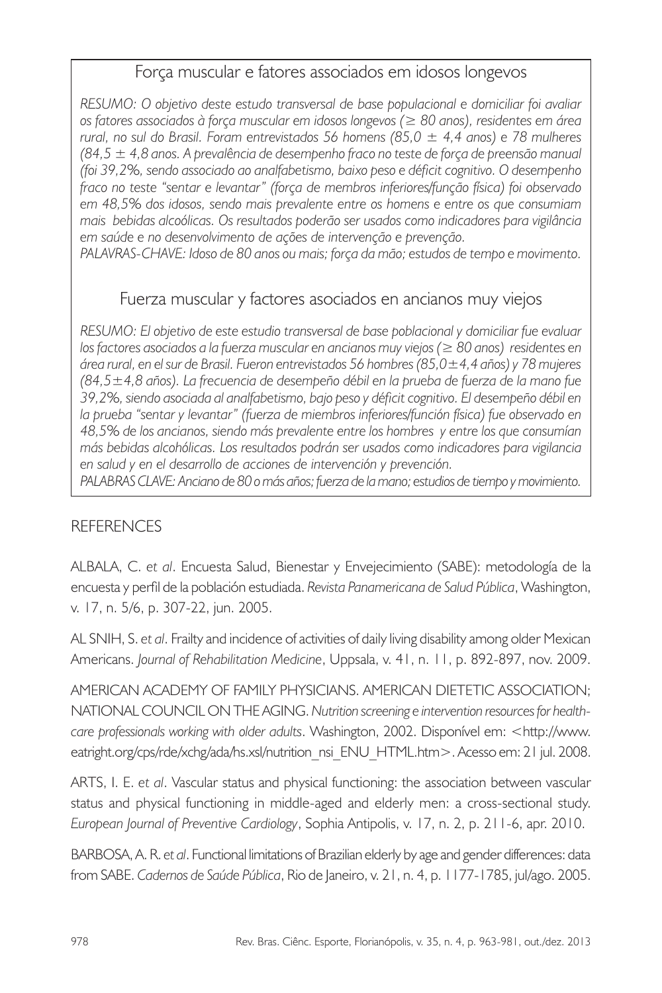## Força muscular e fatores associados em idosos longevos

*RESUMO: O objetivo deste estudo transversal de base populacional e domiciliar foi avaliar os fatores associados à força muscular em idosos longevos (≥ 80 anos), residentes em área rural, no sul do Brasil. Foram entrevistados 56 homens (85,0 ± 4,4 anos) e 78 mulheres (84,5 ± 4,8 anos. A prevalência de desempenho fraco no teste de força de preensão manual (foi 39,2%, sendo associado ao analfabetismo, baixo peso e déficit cognitivo. O desempenho fraco no teste "sentar e levantar" (força de membros inferiores/função física) foi observado em 48,5% dos idosos, sendo mais prevalente entre os homens e entre os que consumiam mais bebidas alcoólicas. Os resultados poderão ser usados como indicadores para vigilância em saúde e no desenvolvimento de ações de intervenção e prevenção.*

*Palavras-chave: Idoso de 80 anos ou mais; força da mão; estudos de tempo e movimento.*

## Fuerza muscular y factores asociados en ancianos muy viejos

*RESUMO: El objetivo de este estudio transversal de base poblacional y domiciliar fue evaluar los factores asociados a la fuerza muscular en ancianos muy viejos (≥ 80 anos) residentes en área rural, en el sur de Brasil. Fueron entrevistados 56 hombres (85,0±4,4 años) y 78 mujeres (84,5±4,8 años). La frecuencia de desempeño débil en la prueba de fuerza de la mano fue 39,2%, siendo asociada al analfabetismo, bajo peso y déficit cognitivo. El desempeño débil en la prueba "sentar y levantar" (fuerza de miembros inferiores/función física) fue observado en 48,5% de los ancianos, siendo más prevalente entre los hombres y entre los que consumían más bebidas alcohólicas. Los resultados podrán ser usados como indicadores para vigilancia en salud y en el desarrollo de acciones de intervención y prevención.*

*PALABRAS CLAVE: Anciano de 80 o más años; fuerza de la mano; estudios de tiempo y movimiento.*

#### **REFERENCES**

ALBALA, C. *et al*. Encuesta Salud, Bienestar y Envejecimiento (SABE): metodología de la encuesta y perfil de la población estudiada. *Revista Panamericana de Salud Pública*, Washington, v. 17, n. 5/6, p. 307-22, jun. 2005.

AL SNIH, S. *et al*. Frailty and incidence of activities of daily living disability among older Mexican Americans. *Journal of Rehabilitation Medicine*, Uppsala, v. 41, n. 11, p. 892-897, nov. 2009.

AMERICAN ACADEMY OF FAMILY PHYSICIANS. AMERICAN DIETETIC ASSOCIATION; NATIONAL COUNCIL ON THE AGING. *Nutrition screening e intervention resources for healthcare professionals working with older adults*. Washington, 2002. Disponível em: <http://www. eatright.org/cps/rde/xchg/ada/hs.xsl/nutrition\_nsi\_ENU\_HTML.htm>. Acesso em: 21 jul. 2008.

ARTS, I. E. *et al*. Vascular status and physical functioning: the association between vascular status and physical functioning in middle-aged and elderly men: a cross-sectional study. *European Journal of Preventive Cardiology*, Sophia Antipolis, v. 17, n. 2, p. 211-6, apr. 2010.

BARBOSA, A. R. *et al*. Functional limitations of Brazilian elderly by age and gender differences: data from SABE. *Cadernos de Saúde Pública*, Rio de Janeiro, v. 21, n. 4, p. 1177-1785, jul/ago. 2005.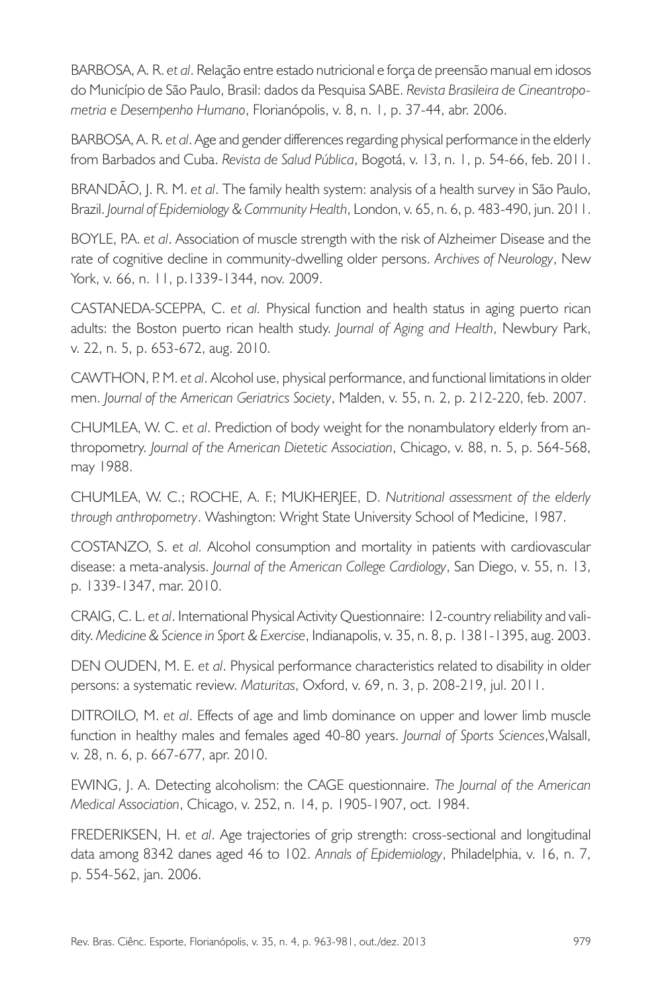BARBOSA, A. R. *et al*. Relação entre estado nutricional e força de preensão manual em idosos do Município de São Paulo, Brasil: dados da Pesquisa SABE. *Revista Brasileira de Cineantropometria e Desempenho Humano*, Florianópolis, v. 8, n. 1, p. 37-44, abr. 2006.

BARBOSA, A. R. *et al*. Age and gender differences regarding physical performance in the elderly from Barbados and Cuba. *Revista de Salud Pública*, Bogotá, v. 13, n. 1, p. 54-66, feb. 2011.

BRANDÃO, J. R. M. *et al*. The family health system: analysis of a health survey in São Paulo, Brazil. *Journal of Epidemiology & Community Health*, London, v. 65, n. 6, p. 483-490, jun. 2011.

BOYLE, P.A. *et al*. Association of muscle strength with the risk of Alzheimer Disease and the rate of cognitive decline in community-dwelling older persons. *Archives of Neurology*, New York, v. 66, n. 11, p.1339-1344, nov. 2009.

CASTANEDA-SCEPPA, C. *et al.* Physical function and health status in aging puerto rican adults: the Boston puerto rican health study. *Journal of Aging and Health*, Newbury Park, v. 22, n. 5, p. 653-672, aug. 2010.

CAWTHON, P. M. *et al*. Alcohol use, physical performance, and functional limitations in older men. *Journal of the American Geriatrics Society*, Malden, v. 55, n. 2, p. 212-220, feb. 2007.

CHUMLEA, W. C. *et al*. Prediction of body weight for the nonambulatory elderly from anthropometry. *Journal of the American Dietetic Association*, Chicago, v. 88, n. 5, p. 564-568, may 1988.

CHUMLEA, W. C.; ROCHE, A. F.; MUKHERJEE, D. *Nutritional assessment of the elderly through anthropometry*. Washington: Wright State University School of Medicine, 1987.

COSTANZO, S. *et al.* Alcohol consumption and mortality in patients with cardiovascular disease: a meta-analysis. *Journal of the American College Cardiology*, San Diego, v. 55, n. 13, p. 1339-1347, mar. 2010.

CRAIG, C. L. *et al*. International Physical Activity Questionnaire: 12-country reliability and validity. *Medicine & Science in Sport & Exercise*, Indianapolis, v. 35, n. 8, p. 1381-1395, aug. 2003.

DEN OUDEN, M. E. *et al*. Physical performance characteristics related to disability in older persons: a systematic review. *Maturitas*, Oxford, v. 69, n. 3, p. 208-219, jul. 2011.

DITROILO, M. *et al*. Effects of age and limb dominance on upper and lower limb muscle function in healthy males and females aged 40-80 years. *Journal of Sports Sciences*,Walsall, v. 28, n. 6, p. 667-677, apr. 2010.

EWING, J. A. Detecting alcoholism: the CAGE questionnaire. *The Journal of the American Medical Association*, Chicago, v. 252, n. 14, p. 1905-1907, oct. 1984.

FREDERIKSEN, H. *et al*. Age trajectories of grip strength: cross-sectional and longitudinal data among 8342 danes aged 46 to 102. *Annals of Epidemiology*, Philadelphia, v. 16, n. 7, p. 554-562, jan. 2006.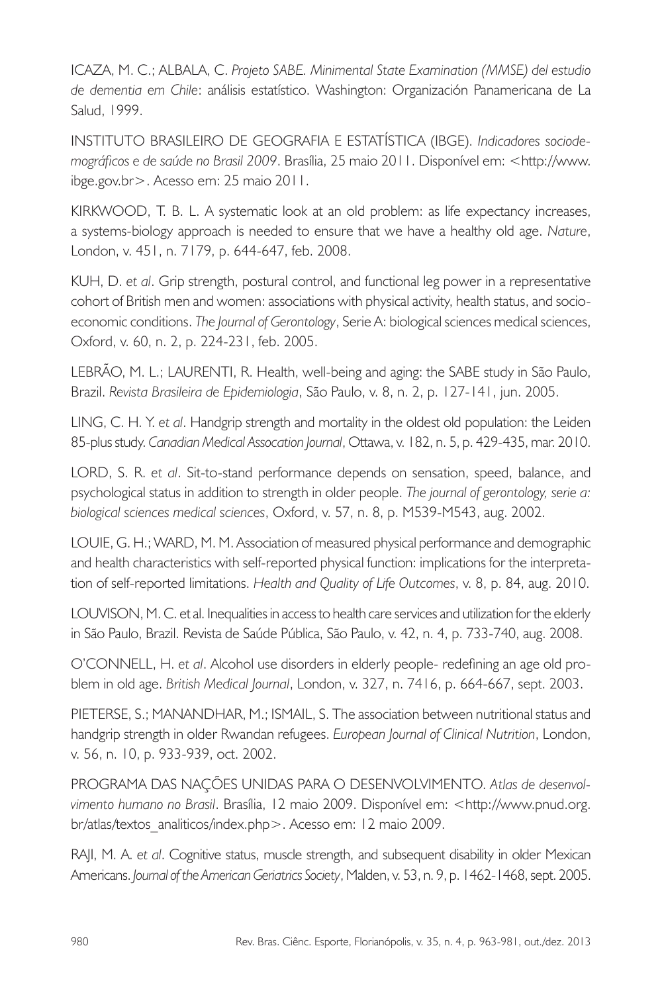ICAZA, M. C.; ALBALA, C. *Projeto SABE. Minimental State Examination (MMSE) del estudio de dementia em Chile*: análisis estatístico. Washington: Organización Panamericana de La Salud, 1999.

INSTITUTO BRASILEIRO DE GEOGRAFIA E ESTATÍSTICA (IBGE). *Indicadores sociodemográficos e de saúde no Brasil 2009*. Brasília, 25 maio 2011. Disponível em: <http://www. ibge.gov.br>. Acesso em: 25 maio 2011.

KIRKWOOD, T. B. L. A systematic look at an old problem: as life expectancy increases, a systems-biology approach is needed to ensure that we have a healthy old age. *Nature*, London, v. 451, n. 7179, p. 644-647, feb. 2008.

KUH, D. *et al*. Grip strength, postural control, and functional leg power in a representative cohort of British men and women: associations with physical activity, health status, and socioeconomic conditions. *The Journal of Gerontology*, Serie A: biological sciences medical sciences, Oxford, v. 60, n. 2, p. 224-231, feb. 2005.

LEBRÃO, M. L.; LAURENTI, R. Health, well-being and aging: the SABE study in São Paulo, Brazil. *Revista Brasileira de Epidemiologia*, São Paulo, v. 8, n. 2, p. 127-141, jun. 2005.

LING, C. H. Y. *et al*. Handgrip strength and mortality in the oldest old population: the Leiden 85-plus study. *Canadian Medical Assocation Journal*, Ottawa, v. 182, n. 5, p. 429-435, mar. 2010.

LORD, S. R. *et al*. Sit-to-stand performance depends on sensation, speed, balance, and psychological status in addition to strength in older people. *The journal of gerontology, serie a: biological sciences medical sciences*, Oxford, v. 57, n. 8, p. M539-M543, aug. 2002.

LOUIE, G. H.; WARD, M. M. Association of measured physical performance and demographic and health characteristics with self-reported physical function: implications for the interpretation of self-reported limitations. *Health and Quality of Life Outcomes*, v. 8, p. 84, aug. 2010.

LOUVISON, M. C. et al. Inequalities in access to health care services and utilization for the elderly in São Paulo, Brazil. Revista de Saúde Pública, São Paulo, v. 42, n. 4, p. 733-740, aug. 2008.

O'CONNELL, H. *et al*. Alcohol use disorders in elderly people- redefining an age old problem in old age. *British Medical Journal*, London, v. 327, n. 7416, p. 664-667, sept. 2003.

PIETERSE, S.; MANANDHAR, M.; ISMAIL, S. The association between nutritional status and handgrip strength in older Rwandan refugees. *European Journal of Clinical Nutrition*, London, v. 56, n. 10, p. 933-939, oct. 2002.

PROGRAMA DAS NAÇÕES UNIDAS PARA O DESENVOLVIMENTO. *Atlas de desenvolvimento humano no Brasil*. Brasília, 12 maio 2009. Disponível em: <http://www.pnud.org. br/atlas/textos\_analiticos/index.php>. Acesso em: 12 maio 2009.

RAJI, M. A. *et al*. Cognitive status, muscle strength, and subsequent disability in older Mexican Americans. *Journal of the American Geriatrics Society*, Malden, v. 53, n. 9, p. 1462-1468, sept. 2005.